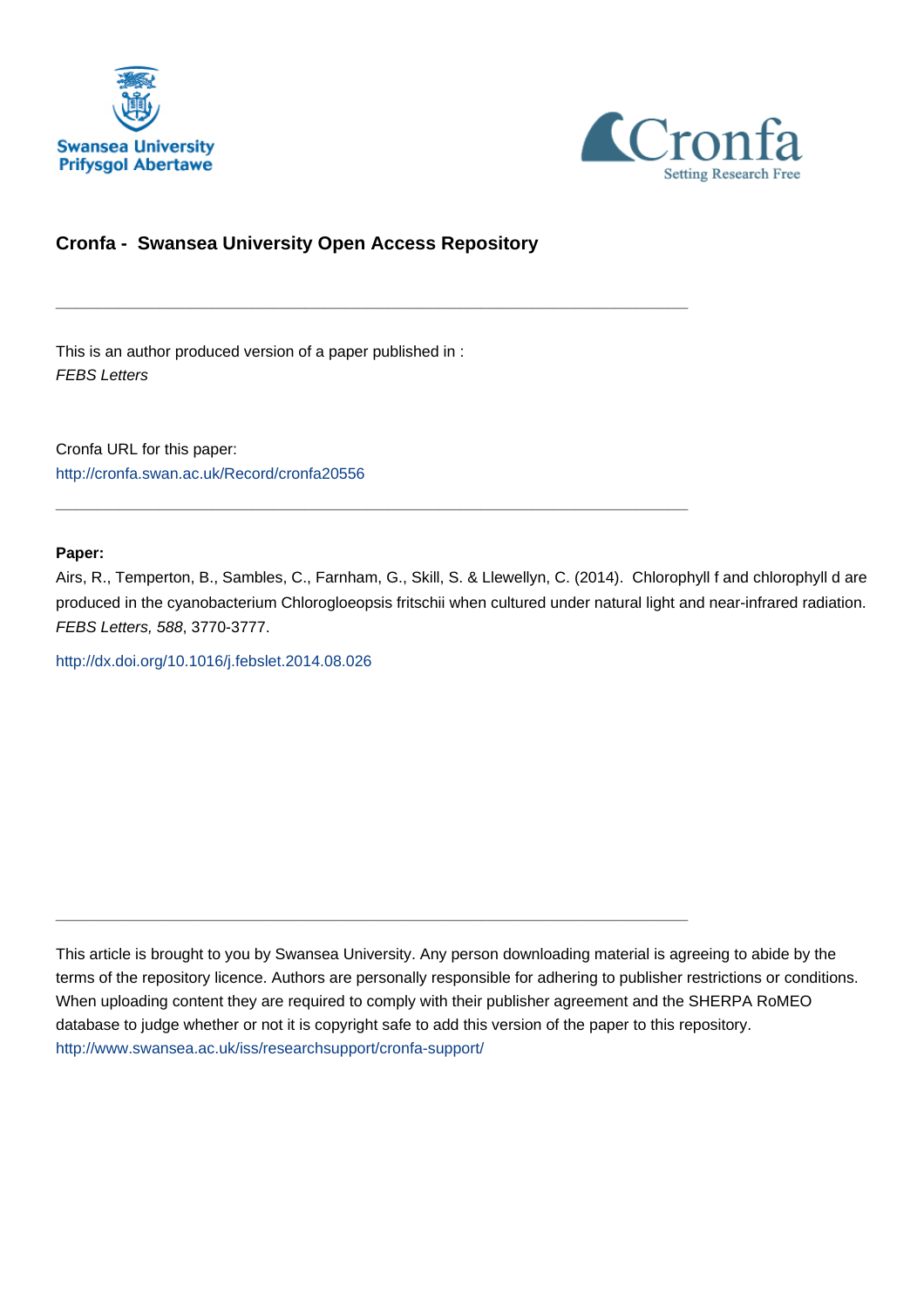



# **Cronfa - Swansea University Open Access Repository**

\_\_\_\_\_\_\_\_\_\_\_\_\_\_\_\_\_\_\_\_\_\_\_\_\_\_\_\_\_\_\_\_\_\_\_\_\_\_\_\_\_\_\_\_\_\_\_\_\_\_\_\_\_\_\_\_\_\_\_\_\_

 $\_$  , and the set of the set of the set of the set of the set of the set of the set of the set of the set of the set of the set of the set of the set of the set of the set of the set of the set of the set of the set of th

\_\_\_\_\_\_\_\_\_\_\_\_\_\_\_\_\_\_\_\_\_\_\_\_\_\_\_\_\_\_\_\_\_\_\_\_\_\_\_\_\_\_\_\_\_\_\_\_\_\_\_\_\_\_\_\_\_\_\_\_\_

This is an author produced version of a paper published in : FEBS Letters

Cronfa URL for this paper: <http://cronfa.swan.ac.uk/Record/cronfa20556>

# **Paper:**

Airs, R., Temperton, B., Sambles, C., Farnham, G., Skill, S. & Llewellyn, C. (2014). Chlorophyll f and chlorophyll d are produced in the cyanobacterium Chlorogloeopsis fritschii when cultured under natural light and near-infrared radiation. FEBS Letters, 588, 3770-3777.

<http://dx.doi.org/10.1016/j.febslet.2014.08.026>

This article is brought to you by Swansea University. Any person downloading material is agreeing to abide by the terms of the repository licence. Authors are personally responsible for adhering to publisher restrictions or conditions. When uploading content they are required to comply with their publisher agreement and the SHERPA RoMEO database to judge whether or not it is copyright safe to add this version of the paper to this repository. [http://www.swansea.ac.uk/iss/researchsupport/cronfa-support/](http://www.swansea.ac.uk/iss/researchsupport/cronfa-support/ )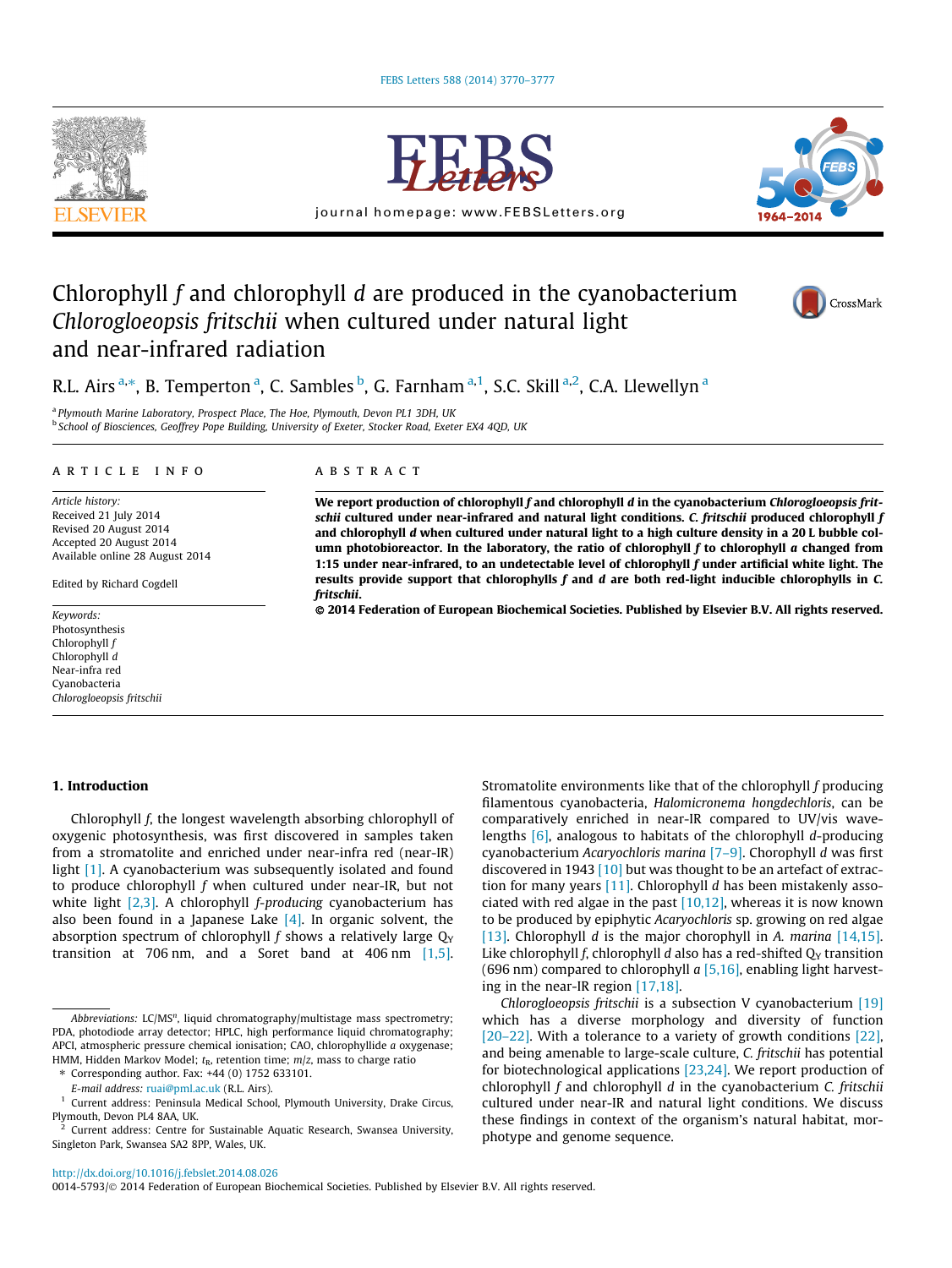



journal homepage: www.FEBSLetters.org



# Chlorophyll f and chlorophyll d are produced in the cyanobacterium Chlorogloeopsis fritschii when cultured under natural light and near-infrared radiation



# R.L. Airs <sup>a,</sup>\*, B. Temperton <sup>a</sup>, C. Sambles <sup>b</sup>, G. Farnham <sup>a,1</sup>, S.C. Skill <sup>a,2</sup>, C.A. Llewellyn <sup>a</sup>

<sup>a</sup> Plymouth Marine Laboratory, Prospect Place, The Hoe, Plymouth, Devon PL1 3DH, UK b School of Biosciences, Geoffrey Pope Building, University of Exeter, Stocker Road, Exeter EX4 4QD, UK

#### article info

Article history: Received 21 July 2014 Revised 20 August 2014 Accepted 20 August 2014 Available online 28 August 2014

Edited by Richard Cogdell

Keywords: Photosynthesis Chlorophyll f Chlorophyll d Near-infra red Cyanobacteria Chlorogloeopsis fritschii

# **ABSTRACT**

We report production of chlorophyll  $f$  and chlorophyll  $d$  in the cyanobacterium Chlorogloeopsis fritschii cultured under near-infrared and natural light conditions. C. fritschii produced chlorophyll f and chlorophyll d when cultured under natural light to a high culture density in a 20 L bubble column photobioreactor. In the laboratory, the ratio of chlorophyll  $f$  to chlorophyll  $a$  changed from 1:15 under near-infrared, to an undetectable level of chlorophyll  $f$  under artificial white light. The results provide support that chlorophylls f and d are both red-light inducible chlorophylls in C. fritschii.

- 2014 Federation of European Biochemical Societies. Published by Elsevier B.V. All rights reserved.

## 1. Introduction

Chlorophyll f, the longest wavelength absorbing chlorophyll of oxygenic photosynthesis, was first discovered in samples taken from a stromatolite and enriched under near-infra red (near-IR) light [1]. A cyanobacterium was subsequently isolated and found to produce chlorophyll  $f$  when cultured under near-IR, but not white light  $[2,3]$ . A chlorophyll *f-producing* cyanobacterium has also been found in a Japanese Lake  $[4]$ . In organic solvent, the absorption spectrum of chlorophyll f shows a relatively large  $Q_Y$ transition at 706 nm, and a Soret band at 406 nm [1,5]. Stromatolite environments like that of the chlorophyll f producing filamentous cyanobacteria, Halomicronema hongdechloris, can be comparatively enriched in near-IR compared to UV/vis wavelengths [6], analogous to habitats of the chlorophyll d-producing cyanobacterium Acaryochloris marina [7-9]. Chorophyll d was first discovered in 1943 [10] but was thought to be an artefact of extraction for many years  $[11]$ . Chlorophyll d has been mistakenly associated with red algae in the past  $[10,12]$ , whereas it is now known to be produced by epiphytic Acaryochloris sp. growing on red algae [13]. Chlorophyll *d* is the major chorophyll in *A. marina* [14,15]. Like chlorophyll f, chlorophyll d also has a red-shifted  $Q<sub>Y</sub>$  transition (696 nm) compared to chlorophyll  $a$  [5,16], enabling light harvesting in the near-IR region [17,18].

Chlorogloeopsis fritschii is a subsection V cyanobacterium [19] which has a diverse morphology and diversity of function [20–22]. With a tolerance to a variety of growth conditions [22], and being amenable to large-scale culture, C. fritschii has potential for biotechnological applications [23,24]. We report production of chlorophyll  $f$  and chlorophyll  $d$  in the cyanobacterium  $C$ . fritschii cultured under near-IR and natural light conditions. We discuss these findings in context of the organism's natural habitat, morphotype and genome sequence.

0014-5793/© 2014 Federation of European Biochemical Societies. Published by Elsevier B.V. All rights reserved.

Abbreviations: LC/MS<sup>n</sup>, liquid chromatography/multistage mass spectrometry; PDA, photodiode array detector; HPLC, high performance liquid chromatography; APCI, atmospheric pressure chemical ionisation; CAO, chlorophyllide a oxygenase; HMM, Hidden Markov Model;  $t_R$ , retention time;  $m/z$ , mass to charge ratio

Corresponding author. Fax: +44 (0) 1752 633101.

E-mail address: ruai@pml.ac.uk (R.L. Airs).

<sup>&</sup>lt;sup>1</sup> Current address: Peninsula Medical School, Plymouth University, Drake Circus, Plymouth, Devon PL4 8AA, UK.

 $2$  Current address: Centre for Sustainable Aquatic Research, Swansea University, Singleton Park, Swansea SA2 8PP, Wales, UK.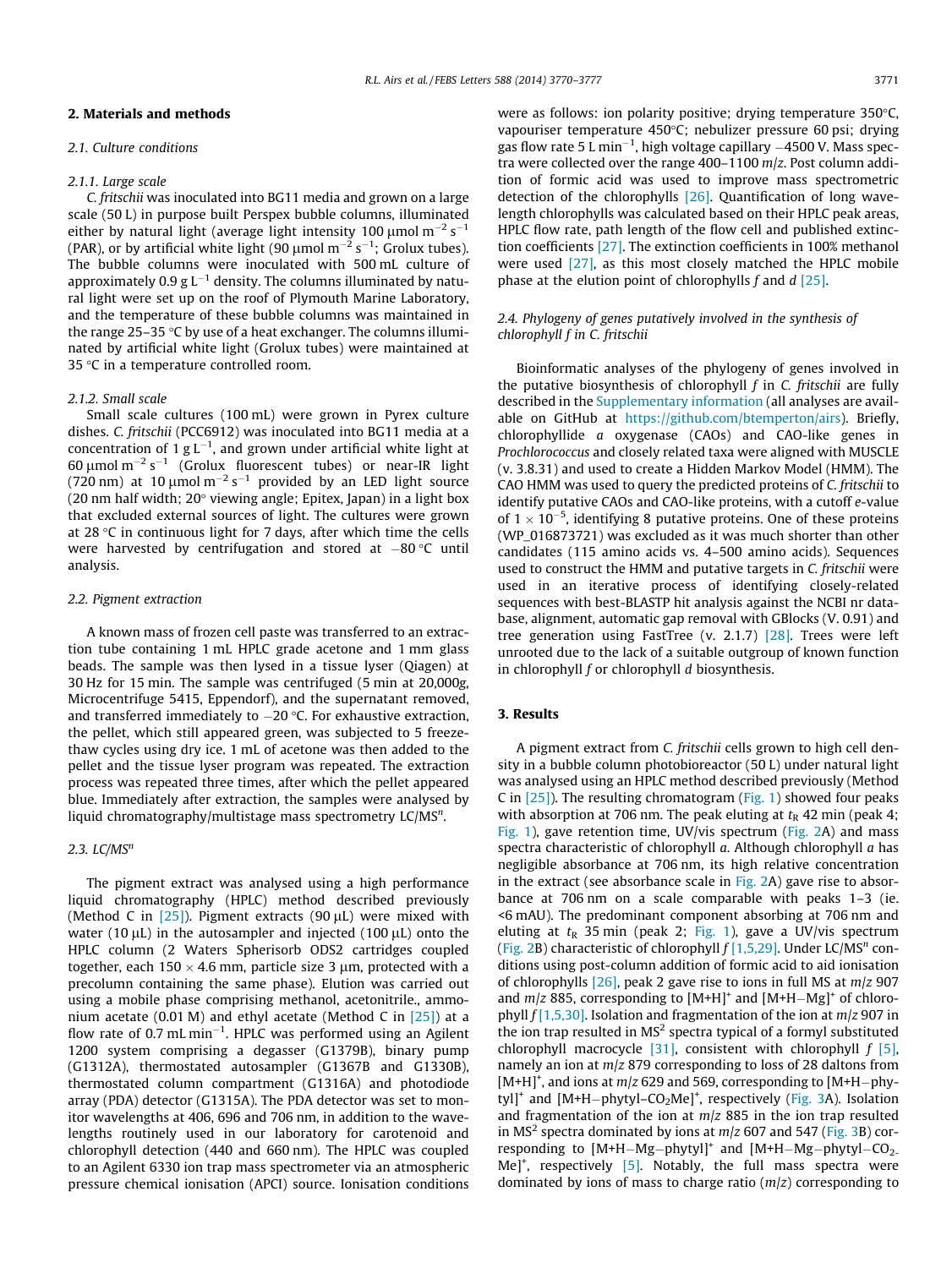#### 2.1. Culture conditions

#### 2.1.1. Large scale

C. fritschii was inoculated into BG11 media and grown on a large scale (50 L) in purpose built Perspex bubble columns, illuminated either by natural light (average light intensity 100  $\mu$ mol $\,$ m $^{-2}$  s $^{-1}$ (PAR), or by artificial white light (90  $\mu$ mol m<sup>-2</sup> s<sup>-1</sup>; Grolux tubes). The bubble columns were inoculated with 500 mL culture of approximately 0.9 g  $\mathsf{L}^{-1}$  density. The columns illuminated by natural light were set up on the roof of Plymouth Marine Laboratory, and the temperature of these bubble columns was maintained in the range 25–35  $\degree$ C by use of a heat exchanger. The columns illuminated by artificial white light (Grolux tubes) were maintained at 35  $\degree$ C in a temperature controlled room.

#### 2.1.2. Small scale

Small scale cultures (100 mL) were grown in Pyrex culture dishes. C. fritschii (PCC6912) was inoculated into BG11 media at a concentration of 1 g L<sup>-1</sup>, and grown under artificial white light at 60  $\mu$ mol m<sup>-2</sup> s<sup>-1</sup> (Grolux fluorescent tubes) or near-IR light (720 nm) at 10  $\mu$ mol m $^{-2}$  s $^{-1}$  provided by an LED light source (20 nm half width;  $20^{\circ}$  viewing angle; Epitex, Japan) in a light box that excluded external sources of light. The cultures were grown at 28  $\degree$ C in continuous light for 7 days, after which time the cells were harvested by centrifugation and stored at  $-80\,^{\circ}\textrm{C}$  until analysis.

#### 2.2. Pigment extraction

A known mass of frozen cell paste was transferred to an extraction tube containing 1 mL HPLC grade acetone and 1 mm glass beads. The sample was then lysed in a tissue lyser (Qiagen) at 30 Hz for 15 min. The sample was centrifuged (5 min at 20,000g, Microcentrifuge 5415, Eppendorf), and the supernatant removed, and transferred immediately to  $-20$  °C. For exhaustive extraction, the pellet, which still appeared green, was subjected to 5 freezethaw cycles using dry ice. 1 mL of acetone was then added to the pellet and the tissue lyser program was repeated. The extraction process was repeated three times, after which the pellet appeared blue. Immediately after extraction, the samples were analysed by liquid chromatography/multistage mass spectrometry  $LC/MS<sup>n</sup>$ .

#### 2.3.  $LC/MS^n$

The pigment extract was analysed using a high performance liquid chromatography (HPLC) method described previously (Method C in  $[25]$ ). Pigment extracts (90  $\mu$ L) were mixed with water (10  $\mu$ L) in the autosampler and injected (100  $\mu$ L) onto the HPLC column (2 Waters Spherisorb ODS2 cartridges coupled together, each  $150 \times 4.6$  mm, particle size 3 µm, protected with a precolumn containing the same phase). Elution was carried out using a mobile phase comprising methanol, acetonitrile., ammonium acetate (0.01 M) and ethyl acetate (Method C in  $[25]$ ) at a flow rate of 0.7 mL min<sup>-1</sup>. HPLC was performed using an Agilent 1200 system comprising a degasser (G1379B), binary pump (G1312A), thermostated autosampler (G1367B and G1330B), thermostated column compartment (G1316A) and photodiode array (PDA) detector (G1315A). The PDA detector was set to monitor wavelengths at 406, 696 and 706 nm, in addition to the wavelengths routinely used in our laboratory for carotenoid and chlorophyll detection (440 and 660 nm). The HPLC was coupled to an Agilent 6330 ion trap mass spectrometer via an atmospheric pressure chemical ionisation (APCI) source. Ionisation conditions were as follows: ion polarity positive; drying temperature 350 °C. vapouriser temperature 450°C; nebulizer pressure 60 psi; drving gas flow rate 5 L min $^{-1}$ , high voltage capillary  $-4500$  V. Mass spectra were collected over the range 400–1100 m/z. Post column addition of formic acid was used to improve mass spectrometric detection of the chlorophylls [26]. Quantification of long wavelength chlorophylls was calculated based on their HPLC peak areas, HPLC flow rate, path length of the flow cell and published extinction coefficients [27]. The extinction coefficients in 100% methanol were used [27], as this most closely matched the HPLC mobile phase at the elution point of chlorophylls  $f$  and  $d$  [25].

## 2.4. Phylogeny of genes putatively involved in the synthesis of chlorophyll f in C. fritschii

Bioinformatic analyses of the phylogeny of genes involved in the putative biosynthesis of chlorophyll  $f$  in  $C$ . fritschii are fully described in the Supplementary information (all analyses are available on GitHub at https://github.com/btemperton/airs). Briefly, chlorophyllide a oxygenase (CAOs) and CAO-like genes in Prochlorococcus and closely related taxa were aligned with MUSCLE (v. 3.8.31) and used to create a Hidden Markov Model (HMM). The CAO HMM was used to query the predicted proteins of C. fritschii to identify putative CAOs and CAO-like proteins, with a cutoff e-value of  $1 \times 10^{-5}$ , identifying 8 putative proteins. One of these proteins (WP\_016873721) was excluded as it was much shorter than other candidates (115 amino acids vs. 4–500 amino acids). Sequences used to construct the HMM and putative targets in C. fritschii were used in an iterative process of identifying closely-related sequences with best-BLASTP hit analysis against the NCBI nr database, alignment, automatic gap removal with GBlocks (V. 0.91) and tree generation using FastTree (v. 2.1.7) [28]. Trees were left unrooted due to the lack of a suitable outgroup of known function in chlorophyll  $f$  or chlorophyll  $d$  biosynthesis.

## 3. Results

A pigment extract from C. fritschii cells grown to high cell density in a bubble column photobioreactor (50 L) under natural light was analysed using an HPLC method described previously (Method C in  $[25]$ ). The resulting chromatogram (Fig. 1) showed four peaks with absorption at 706 nm. The peak eluting at  $t<sub>R</sub>$  42 min (peak 4; Fig. 1), gave retention time, UV/vis spectrum (Fig. 2A) and mass spectra characteristic of chlorophyll a. Although chlorophyll a has negligible absorbance at 706 nm, its high relative concentration in the extract (see absorbance scale in Fig. 2A) gave rise to absorbance at 706 nm on a scale comparable with peaks 1–3 (ie. <6 mAU). The predominant component absorbing at 706 nm and eluting at  $t<sub>R</sub>$  35 min (peak 2; Fig. 1), gave a UV/vis spectrum (Fig. 2B) characteristic of chlorophyll  $f$  [1,5,29]. Under LC/MS<sup>n</sup> conditions using post-column addition of formic acid to aid ionisation of chlorophylls  $[26]$ , peak 2 gave rise to ions in full MS at  $m/z$  907 and  $m/z$  885, corresponding to  $[M+H]^+$  and  $[M+H-Mg]^+$  of chlorophyll  $f$ [1,5,30]. Isolation and fragmentation of the ion at  $m/z$  907 in the ion trap resulted in  $MS<sup>2</sup>$  spectra typical of a formyl substituted chlorophyll macrocycle  $[31]$ , consistent with chlorophyll  $f$   $[5]$ , namely an ion at m/z 879 corresponding to loss of 28 daltons from  $[M+H]^{+}$ , and ions at  $m/z$  629 and 569, corresponding to  $[M+H-phy$ tyl]<sup>+</sup> and [M+H-phytyl-CO<sub>2</sub>Me]<sup>+</sup>, respectively (Fig. 3A). Isolation and fragmentation of the ion at  $m/z$  885 in the ion trap resulted in MS<sup>2</sup> spectra dominated by ions at  $m/z$  607 and 547 (Fig. 3B) corresponding to  $[M+H-Mg-phytyl]^+$  and  $[M+H-Mg-phytyl-CO<sub>2</sub>$ . Me]<sup>+</sup>, respectively [5]. Notably, the full mass spectra were dominated by ions of mass to charge ratio  $(m/z)$  corresponding to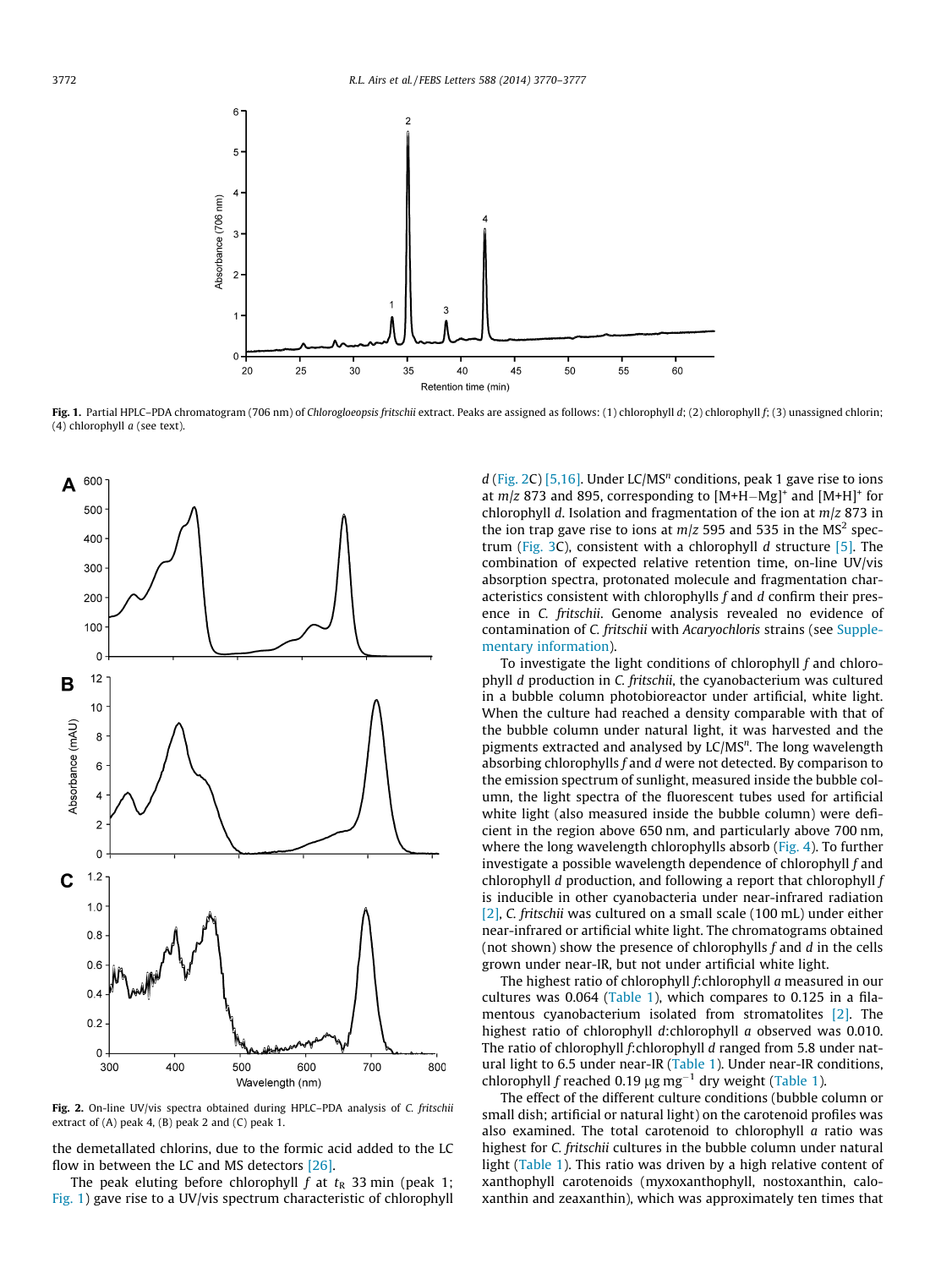

Fig. 1. Partial HPLC-PDA chromatogram (706 nm) of Chlorogloeopsis fritschii extract. Peaks are assigned as follows: (1) chlorophyll d; (2) chlorophyll f; (3) unassigned chlorin; (4) chlorophyll a (see text).



Fig. 2. On-line UV/vis spectra obtained during HPLC-PDA analysis of C. fritschii extract of (A) peak 4, (B) peak 2 and (C) peak 1.

the demetallated chlorins, due to the formic acid added to the LC flow in between the LC and MS detectors [26].

The peak eluting before chlorophyll  $f$  at  $t<sub>R</sub>$  33 min (peak 1; Fig. 1) gave rise to a UV/vis spectrum characteristic of chlorophyll d (Fig. 2C) [5,16]. Under LC/MS<sup>n</sup> conditions, peak 1 gave rise to ions at  $m/z$  873 and 895, corresponding to  $[M+H-Mg]^+$  and  $[M+H]^+$  for chlorophyll d. Isolation and fragmentation of the ion at  $m/z$  873 in the ion trap gave rise to ions at  $m/z$  595 and 535 in the MS<sup>2</sup> spectrum (Fig. 3C), consistent with a chlorophyll  $d$  structure [5]. The combination of expected relative retention time, on-line UV/vis absorption spectra, protonated molecule and fragmentation characteristics consistent with chlorophylls f and d confirm their presence in C. fritschii. Genome analysis revealed no evidence of contamination of C. fritschii with Acaryochloris strains (see Supplementary information).

To investigate the light conditions of chlorophyll f and chlorophyll d production in C. fritschii, the cyanobacterium was cultured in a bubble column photobioreactor under artificial, white light. When the culture had reached a density comparable with that of the bubble column under natural light, it was harvested and the pigments extracted and analysed by LC/MS<sup>n</sup>. The long wavelength absorbing chlorophylls  $f$  and  $d$  were not detected. By comparison to the emission spectrum of sunlight, measured inside the bubble column, the light spectra of the fluorescent tubes used for artificial white light (also measured inside the bubble column) were deficient in the region above 650 nm, and particularly above 700 nm, where the long wavelength chlorophylls absorb (Fig. 4). To further investigate a possible wavelength dependence of chlorophyll  $f$  and chlorophyll  $d$  production, and following a report that chlorophyll  $f$ is inducible in other cyanobacteria under near-infrared radiation [2], C. fritschii was cultured on a small scale (100 mL) under either near-infrared or artificial white light. The chromatograms obtained (not shown) show the presence of chlorophylls f and d in the cells grown under near-IR, but not under artificial white light.

The highest ratio of chlorophyll f:chlorophyll a measured in our cultures was 0.064 (Table 1), which compares to 0.125 in a filamentous cyanobacterium isolated from stromatolites [2]. The highest ratio of chlorophyll d:chlorophyll a observed was 0.010. The ratio of chlorophyll f:chlorophyll d ranged from 5.8 under natural light to 6.5 under near-IR (Table 1). Under near-IR conditions, chlorophyll f reached 0.19  $\mu$ g mg<sup>-1</sup> dry weight (Table 1).

The effect of the different culture conditions (bubble column or small dish; artificial or natural light) on the carotenoid profiles was also examined. The total carotenoid to chlorophyll  $a$  ratio was highest for C. fritschii cultures in the bubble column under natural light (Table 1). This ratio was driven by a high relative content of xanthophyll carotenoids (myxoxanthophyll, nostoxanthin, caloxanthin and zeaxanthin), which was approximately ten times that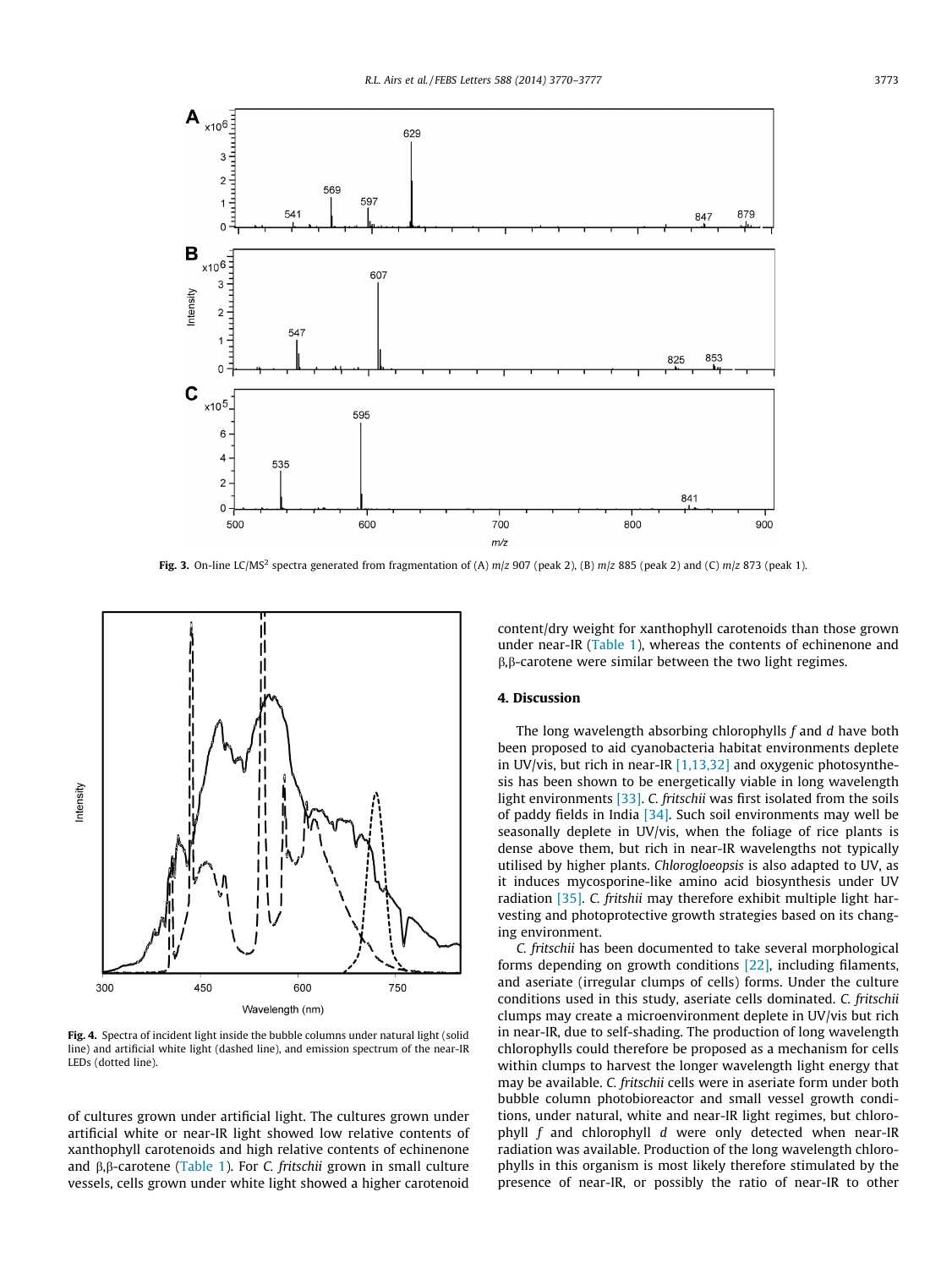

Fig. 3. On-line LC/MS<sup>2</sup> spectra generated from fragmentation of (A)  $m/z$  907 (peak 2), (B)  $m/z$  885 (peak 2) and (C)  $m/z$  873 (peak 1).



Fig. 4. Spectra of incident light inside the bubble columns under natural light (solid line) and artificial white light (dashed line), and emission spectrum of the near-IR LEDs (dotted line).

of cultures grown under artificial light. The cultures grown under artificial white or near-IR light showed low relative contents of xanthophyll carotenoids and high relative contents of echinenone and  $\beta$ , $\beta$ -carotene (Table 1). For C. fritschii grown in small culture vessels, cells grown under white light showed a higher carotenoid

content/dry weight for xanthophyll carotenoids than those grown under near-IR (Table 1), whereas the contents of echinenone and  $\beta$ , $\beta$ -carotene were similar between the two light regimes.

#### 4. Discussion

The long wavelength absorbing chlorophylls f and d have both been proposed to aid cyanobacteria habitat environments deplete in UV/vis, but rich in near-IR  $[1,13,32]$  and oxygenic photosynthesis has been shown to be energetically viable in long wavelength light environments [33]. C. fritschii was first isolated from the soils of paddy fields in India [34]. Such soil environments may well be seasonally deplete in UV/vis, when the foliage of rice plants is dense above them, but rich in near-IR wavelengths not typically utilised by higher plants. Chlorogloeopsis is also adapted to UV, as it induces mycosporine-like amino acid biosynthesis under UV radiation [35]. C. fritshii may therefore exhibit multiple light harvesting and photoprotective growth strategies based on its changing environment.

C. fritschii has been documented to take several morphological forms depending on growth conditions [22], including filaments, and aseriate (irregular clumps of cells) forms. Under the culture conditions used in this study, aseriate cells dominated. C. fritschii clumps may create a microenvironment deplete in UV/vis but rich in near-IR, due to self-shading. The production of long wavelength chlorophylls could therefore be proposed as a mechanism for cells within clumps to harvest the longer wavelength light energy that may be available. C. fritschii cells were in aseriate form under both bubble column photobioreactor and small vessel growth conditions, under natural, white and near-IR light regimes, but chlorophyll  $f$  and chlorophyll  $d$  were only detected when near-IR radiation was available. Production of the long wavelength chlorophylls in this organism is most likely therefore stimulated by the presence of near-IR, or possibly the ratio of near-IR to other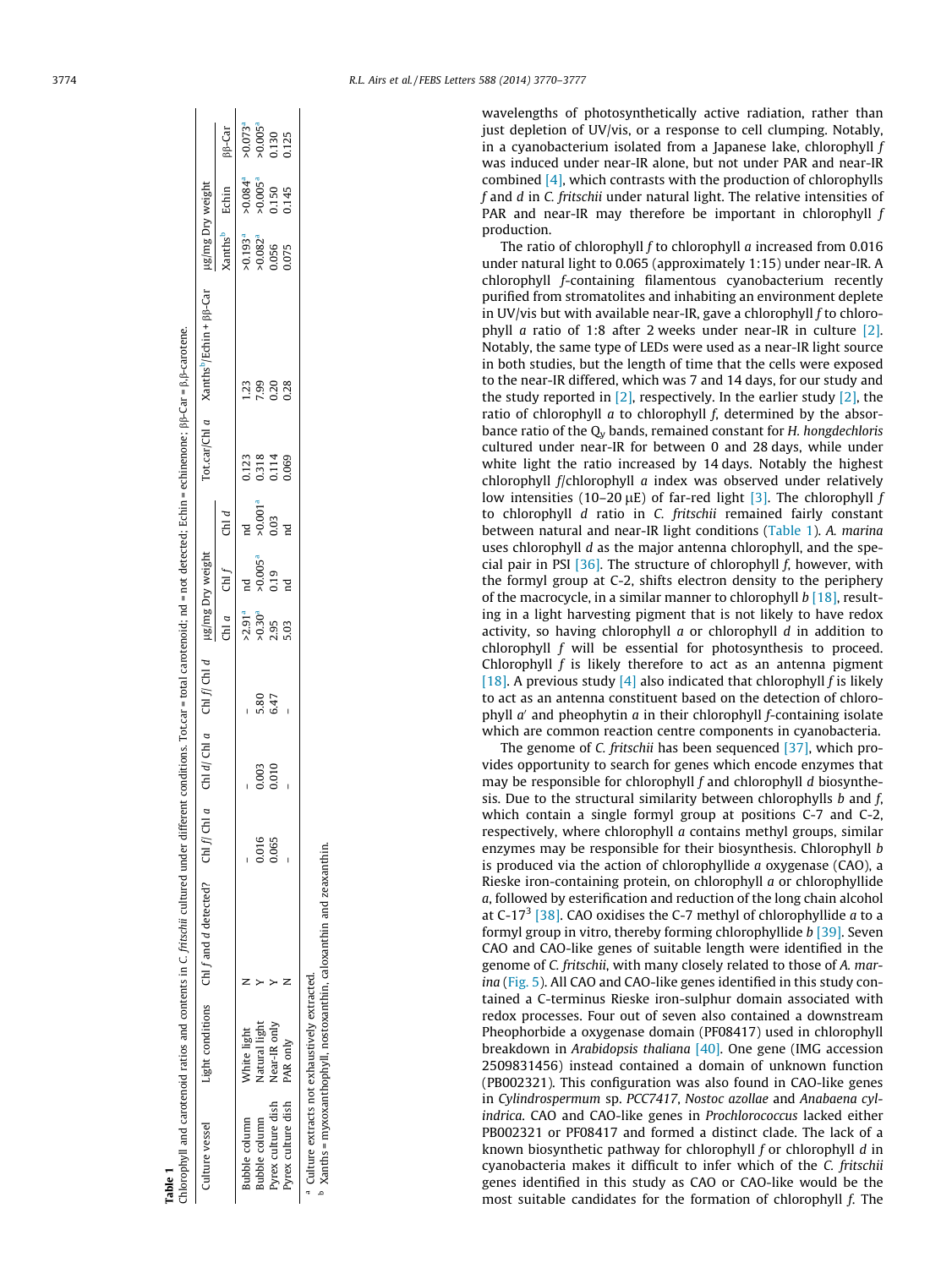| Cable 1                        |                      | thlorophyll and carotenoid ratios and contents in C. fritschii cultured under different |       |       |                           |                      |                   |                     | conditions. Tot car = total carotenoid; nd = not detected; Echin = echinenone; $\beta\beta$ -Car = $\beta$ , $\beta$ -carotene. |                                                                 |                                              |                                                                      |                                                                      |
|--------------------------------|----------------------|-----------------------------------------------------------------------------------------|-------|-------|---------------------------|----------------------|-------------------|---------------------|---------------------------------------------------------------------------------------------------------------------------------|-----------------------------------------------------------------|----------------------------------------------|----------------------------------------------------------------------|----------------------------------------------------------------------|
| Culture vessel                 |                      | Light conditions $\quad$ ChI f and d detected? ChI f ChI a                              |       |       | Chi d/ Chi a Chi f/ Chi d | µg/mg Dry weight     |                   |                     |                                                                                                                                 | Tot.car/Ch1 $a$ Xanths <sup>b</sup> /Echin + $\beta \beta$ -Car | µg/mg Dry weight                             |                                                                      |                                                                      |
|                                |                      |                                                                                         |       |       |                           |                      | $CHa$ Chl $f$     | CHd                 |                                                                                                                                 |                                                                 | Kanths <sup>b</sup> Echin                    |                                                                      | $\beta\beta$ -Car                                                    |
| tubble column                  | Mhite light          |                                                                                         |       |       |                           |                      | nd<br>E           |                     | 0.123                                                                                                                           |                                                                 |                                              |                                                                      |                                                                      |
| subble column                  | <b>Natural light</b> |                                                                                         | 0.016 | 0.003 | 5.80                      | $>2.91a$<br>$>0.30a$ | $>0.005a$<br>0.19 | >0.001 <sup>a</sup> |                                                                                                                                 | 99                                                              | $70.193a$<br>$70.082a$<br>$0.056$<br>$0.075$ | $70.084$ <sup>a</sup><br>$70.005$ <sup>a</sup><br>$0.150$<br>$0.145$ | $70.073$ <sup>a</sup><br>$70.005$ <sup>a</sup><br>$0.130$<br>$0.125$ |
| <sup>o</sup> yrex culture dish | Near-IR only         |                                                                                         | 0.065 | 0.010 | 647                       | 2.95                 |                   | 0.03                | 0.318<br>0.114<br>0.069                                                                                                         | 20                                                              |                                              |                                                                      |                                                                      |
| Pyrex culture dish PAR only    |                      |                                                                                         |       |       |                           | 5.03                 | $\overline{a}$    |                     |                                                                                                                                 | 28                                                              |                                              |                                                                      |                                                                      |

Pyrex culture dish PAR only N – – – 5.03 nd nd 0.069 0.28 0.075 0.145 0.125 <sup>a</sup> Culture extracts not exhaustively extracted.  $\geq$  z Near-IR only<br>PAR only

 $^{\text{\tiny{\text{D}}}}$  Xanths = myxoxanthophyll, nostoxanthin, caloxanthin and zeaxanthin. <sup>b</sup> Xanths = myxoxanthophyll, nostoxanthin, caloxanthin and zeaxanthin a Culture extracts not exhaustively extracted.<br>b v ===++

3774 R.L. Airs et al. / FEBS Letters 588 (2014) 3770–3777

wavelengths of photosynthetically active radiation, rather than just depletion of UV/vis, or a response to cell clumping. Notably, in a cyanobacterium isolated from a Japanese lake, chlorophyll f was induced under near-IR alone, but not under PAR and near-IR combined [4], which contrasts with the production of chlorophylls f and d in C. fritschii under natural light. The relative intensities of PAR and near-IR may therefore be important in chlorophyll  $f$ production.

The ratio of chlorophyll f to chlorophyll a increased from 0.016 under natural light to 0.065 (approximately 1:15) under near-IR. A chlorophyll f-containing filamentous cyanobacterium recently purified from stromatolites and inhabiting an environment deplete in UV/vis but with available near-IR, gave a chlorophyll  $f$  to chlorophyll a ratio of 1:8 after 2 weeks under near-IR in culture [2]. Notably, the same type of LEDs were used as a near-IR light source in both studies, but the length of time that the cells were exposed to the near-IR differed, which was 7 and 14 days, for our study and the study reported in  $[2]$ , respectively. In the earlier study  $[2]$ , the ratio of chlorophyll a to chlorophyll f, determined by the absorbance ratio of the  $Q_v$  bands, remained constant for H. hongdechloris cultured under near-IR for between 0 and 28 days, while under white light the ratio increased by 14 days. Notably the highest chlorophyll f/chlorophyll a index was observed under relatively low intensities (10–20  $\mu$ E) of far-red light [3]. The chlorophyll f to chlorophyll d ratio in C. fritschii remained fairly constant between natural and near-IR light conditions (Table 1). A. marina uses chlorophyll d as the major antenna chlorophyll, and the special pair in PSI  $[36]$ . The structure of chlorophyll f, however, with the formyl group at C-2, shifts electron density to the periphery of the macrocycle, in a similar manner to chlorophyll  $b$  [18], resulting in a light harvesting pigment that is not likely to have redox activity, so having chlorophyll  $a$  or chlorophyll  $d$  in addition to chlorophyll f will be essential for photosynthesis to proceed. Chlorophyll  $f$  is likely therefore to act as an antenna pigment [18]. A previous study [4] also indicated that chlorophyll  $f$  is likely to act as an antenna constituent based on the detection of chlorophyll  $a'$  and pheophytin  $a$  in their chlorophyll f-containing isolate which are common reaction centre components in cyanobacteria.

The genome of C. fritschii has been sequenced [37], which provides opportunity to search for genes which encode enzymes that may be responsible for chlorophyll f and chlorophyll d biosynthesis. Due to the structural similarity between chlorophylls  $b$  and  $f$ , which contain a single formyl group at positions C-7 and C-2, respectively, where chlorophyll a contains methyl groups, similar enzymes may be responsible for their biosynthesis. Chlorophyll b is produced via the action of chlorophyllide a oxygenase (CAO), a Rieske iron-containing protein, on chlorophyll a or chlorophyllide a, followed by esterification and reduction of the long chain alcohol at C-17<sup>3</sup> [38]. CAO oxidises the C-7 methyl of chlorophyllide  $a$  to a formyl group in vitro, thereby forming chlorophyllide b [39]. Seven CAO and CAO-like genes of suitable length were identified in the genome of C. fritschii, with many closely related to those of A. marina (Fig. 5). All CAO and CAO-like genes identified in this study contained a C-terminus Rieske iron-sulphur domain associated with redox processes. Four out of seven also contained a downstream Pheophorbide a oxygenase domain (PF08417) used in chlorophyll breakdown in Arabidopsis thaliana [40]. One gene (IMG accession 2509831456) instead contained a domain of unknown function (PB002321). This configuration was also found in CAO-like genes in Cylindrospermum sp. PCC7417, Nostoc azollae and Anabaena cylindrica. CAO and CAO-like genes in Prochlorococcus lacked either PB002321 or PF08417 and formed a distinct clade. The lack of a known biosynthetic pathway for chlorophyll f or chlorophyll d in cyanobacteria makes it difficult to infer which of the C. fritschii genes identified in this study as CAO or CAO-like would be the most suitable candidates for the formation of chlorophyll f. The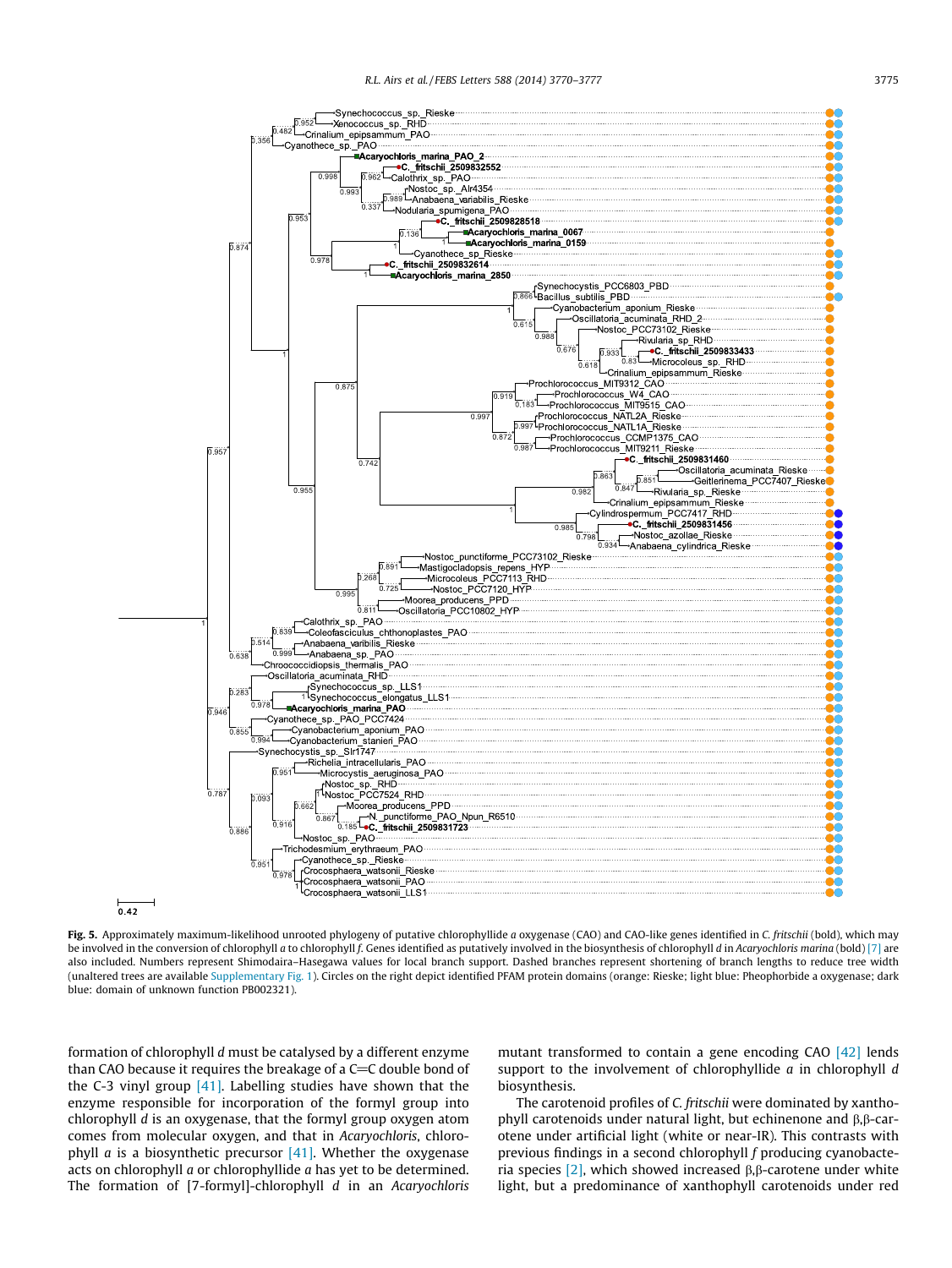

Fig. 5. Approximately maximum-likelihood unrooted phylogeny of putative chlorophyllide a oxygenase (CAO) and CAO-like genes identified in C. fritschii (bold), which may be involved in the conversion of chlorophyll a to chlorophyll f. Genes identified as putatively involved in the biosynthesis of chlorophyll d in Acaryochloris marina (bold) [7] are also included. Numbers represent Shimodaira–Hasegawa values for local branch support. Dashed branches represent shortening of branch lengths to reduce tree width (unaltered trees are available Supplementary Fig. 1). Circles on the right depict identified PFAM protein domains (orange: Rieske; light blue: Pheophorbide a oxygenase; dark blue: domain of unknown function PB002321).

formation of chlorophyll d must be catalysed by a different enzyme than CAO because it requires the breakage of a  $C=C$  double bond of the C-3 vinyl group  $[41]$ . Labelling studies have shown that the enzyme responsible for incorporation of the formyl group into chlorophyll d is an oxygenase, that the formyl group oxygen atom comes from molecular oxygen, and that in Acaryochloris, chlorophyll *a* is a biosynthetic precursor  $[41]$ . Whether the oxygenase acts on chlorophyll a or chlorophyllide a has yet to be determined. The formation of [7-formyl]-chlorophyll d in an Acaryochloris mutant transformed to contain a gene encoding CAO [42] lends support to the involvement of chlorophyllide a in chlorophyll d biosynthesis.

The carotenoid profiles of C. fritschii were dominated by xanthophyll carotenoids under natural light, but echinenone and  $\beta$ , $\beta$ -carotene under artificial light (white or near-IR). This contrasts with previous findings in a second chlorophyll f producing cyanobacteria species  $[2]$ , which showed increased  $\beta$ ,  $\beta$ -carotene under white light, but a predominance of xanthophyll carotenoids under red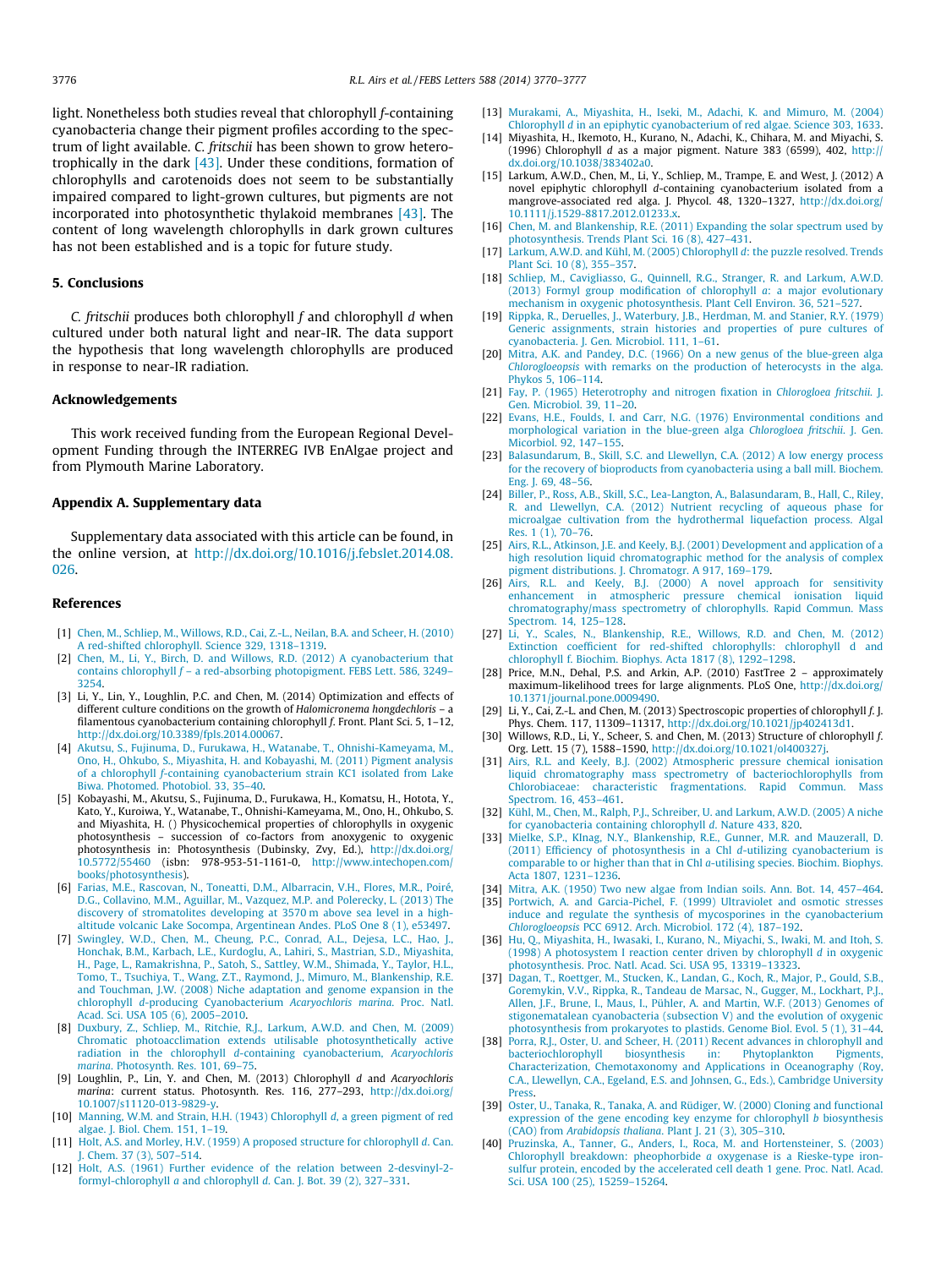light. Nonetheless both studies reveal that chlorophyll f-containing cyanobacteria change their pigment profiles according to the spectrum of light available. C. fritschii has been shown to grow heterotrophically in the dark  $[43]$ . Under these conditions, formation of chlorophylls and carotenoids does not seem to be substantially impaired compared to light-grown cultures, but pigments are not incorporated into photosynthetic thylakoid membranes [43]. The content of long wavelength chlorophylls in dark grown cultures has not been established and is a topic for future study.

#### 5. Conclusions

C. fritschii produces both chlorophyll  $f$  and chlorophyll  $d$  when cultured under both natural light and near-IR. The data support the hypothesis that long wavelength chlorophylls are produced in response to near-IR radiation.

#### Acknowledgements

This work received funding from the European Regional Development Funding through the INTERREG IVB EnAlgae project and from Plymouth Marine Laboratory.

#### Appendix A. Supplementary data

Supplementary data associated with this article can be found, in the online version, at http://dx.doi.org/10.1016/j.febslet.2014.08. 026.

#### References

- [1] Chen, M., Schliep, M., Willows, R.D., Cai, Z.-L., Neilan, B.A. and Scheer, H. (2010) A red-shifted chlorophyll. Science 329, 1318–1319.
- [2] Chen, M., Li, Y., Birch, D. and Willows, R.D. (2012) A cyanobacterium that contains chlorophyll  $f$  – a red-absorbing photopigment. FEBS Lett. 586, 3249– 3254.
- [3] Li, Y., Lin, Y., Loughlin, P.C. and Chen, M. (2014) Optimization and effects of different culture conditions on the growth of Halomicronema hongdechloris – a filamentous cyanobacterium containing chlorophyll f. Front. Plant Sci. 5, 1–12, http://dx.doi.org/10.3389/fpls.2014.00067.
- [4] Akutsu, S., Fujinuma, D., Furukawa, H., Watanabe, T., Ohnishi-Kameyama, M., Ono, H., Ohkubo, S., Miyashita, H. and Kobayashi, M. (2011) Pigment analysis of a chlorophyll f-containing cyanobacterium strain KC1 isolated from Lake Biwa. Photomed. Photobiol. 33, 35–40.
- [5] Kobayashi, M., Akutsu, S., Fujinuma, D., Furukawa, H., Komatsu, H., Hotota, Y., Kato, Y., Kuroiwa, Y., Watanabe, T., Ohnishi-Kameyama, M., Ono, H., Ohkubo, S. and Miyashita, H. () Physicochemical properties of chlorophylls in oxygenic photosynthesis – succession of co-factors from anoxygenic to oxygenic photosynthesis in: Photosynthesis (Dubinsky, Zvy, Ed.), http://dx.doi.org/ 10.5772/55460 (isbn: 978-953-51-1161-0, http://www.intechopen.com/ books/photosynthesis).
- [6] Farias, M.E., Rascovan, N., Toneatti, D.M., Albarracin, V.H., Flores, M.R., Poiré, D.G., Collavino, M.M., Aguillar, M., Vazquez, M.P. and Polerecky, L. (2013) The discovery of stromatolites developing at 3570 m above sea level in a highaltitude volcanic Lake Socompa, Argentinean Andes. PLoS One 8 (1), e53497.
- [7] Swingley, W.D., Chen, M., Cheung, P.C., Conrad, A.L., Dejesa, L.C., Hao, J., Honchak, B.M., Karbach, L.E., Kurdoglu, A., Lahiri, S., Mastrian, S.D., Miyashita, H., Page, L., Ramakrishna, P., Satoh, S., Sattley, W.M., Shimada, Y., Taylor, H.L., Tomo, T., Tsuchiya, T., Wang, Z.T., Raymond, J., Mimuro, M., Blankenship, R.E. and Touchman, J.W. (2008) Niche adaptation and genome expansion in the chlorophyll d-producing Cyanobacterium Acaryochloris marina. Proc. Natl. Acad. Sci. USA 105 (6), 2005–2010.
- [8] Duxbury, Z., Schliep, M., Ritchie, R.J., Larkum, A.W.D. and Chen, M. (2009) Chromatic photoacclimation extends utilisable photosynthetically active radiation in the chlorophyll d-containing cyanobacterium, Acaryochloris marina. Photosynth. Res. 101, 69–75.
- [9] Loughlin, P., Lin, Y. and Chen, M. (2013) Chlorophyll d and Acaryochloris marina: current status. Photosynth. Res. 116, 277–293, http://dx.doi.org/ 10.1007/s11120-013-9829-y.
- [10] Manning, W.M. and Strain, H.H. (1943) Chlorophyll d, a green pigment of red algae. J. Biol. Chem. 151, 1–19.
- [11] Holt, A.S. and Morley, H.V. (1959) A proposed structure for chlorophyll d. Can. J. Chem. 37 (3), 507–514.
- [12] Holt, A.S. (1961) Further evidence of the relation between 2-desvinyl-2 formyl-chlorophyll a and chlorophyll d. Can. J. Bot. 39 (2), 327–331.
- [13] Murakami, A., Miyashita, H., Iseki, M., Adachi, K. and Mimuro, M. (2004) Chlorophyll d in an epiphytic cyanobacterium of red algae. Science 303, 1633.
- [14] Miyashita, H., Ikemoto, H., Kurano, N., Adachi, K., Chihara, M. and Miyachi, S. (1996) Chlorophyll d as a major pigment. Nature 383 (6599), 402, http:// dx.doi.org/10.1038/383402a0.
- [15] Larkum, A.W.D., Chen, M., Li, Y., Schliep, M., Trampe, E. and West, J. (2012) A novel epiphytic chlorophyll d-containing cyanobacterium isolated from a mangrove-associated red alga. J. Phycol. 48, 1320–1327, http://dx.doi.org/ 10.1111/j.1529-8817.2012.01233.x.
- [16] Chen, M. and Blankenship, R.E. (2011) Expanding the solar spectrum used by photosynthesis. Trends Plant Sci. 16 (8), 427–431.
- [17] Larkum, A.W.D. and Kühl, M. (2005) Chlorophyll d: the puzzle resolved. Trends Plant Sci. 10 (8), 355–357.
- [18] Schliep, M., Cavigliasso, G., Quinnell, R.G., Stranger, R. and Larkum, A.W.D. (2013) Formyl group modification of chlorophyll a: a major evolutionary mechanism in oxygenic photosynthesis. Plant Cell Environ. 36, 521–527.
- [19] Rippka, R., Deruelles, J., Waterbury, J.B., Herdman, M. and Stanier, R.Y. (1979) Generic assignments, strain histories and properties of pure cultures of cyanobacteria. J. Gen. Microbiol. 111, 1–61.
- [20] Mitra, A.K. and Pandey, D.C. (1966) On a new genus of the blue-green alga Chlorogloeopsis with remarks on the production of heterocysts in the alga. Phykos 5, 106–114.
- [21] Fay, P. (1965) Heterotrophy and nitrogen fixation in Chlorogloea fritschii. J. Gen. Microbiol. 39, 11–20.
- [22] Evans, H.E., Foulds, I. and Carr, N.G. (1976) Environmental conditions and morphological variation in the blue-green alga Chlorogloea fritschii. J. Gen. Micorbiol. 92, 147–155.
- [23] Balasundarum, B., Skill, S.C. and Llewellyn, C.A. (2012) A low energy process for the recovery of bioproducts from cyanobacteria using a ball mill. Biochem. Eng. J. 69, 48–56.
- [24] Biller, P., Ross, A.B., Skill, S.C., Lea-Langton, A., Balasundaram, B., Hall, C., Riley, R. and Llewellyn, C.A. (2012) Nutrient recycling of aqueous phase for microalgae cultivation from the hydrothermal liquefaction process. Algal Res. 1 (1), 70–76.
- [25] Airs, R.L., Atkinson, J.E. and Keely, B.J. (2001) Development and application of a high resolution liquid chromatographic method for the analysis of complex pigment distributions. J. Chromatogr. A 917, 169–179.
- [26] Airs, R.L. and Keely, B.J. (2000) A novel approach for sensitivity enhancement in atmospheric pressure chemical ionisation liquid chromatography/mass spectrometry of chlorophylls. Rapid Commun. Mass Spectrom. 14, 125–128.
- [27] Li, Y., Scales, N., Blankenship, R.E., Willows, R.D. and Chen, M. (2012) Extinction coefficient for red-shifted chlorophylls: chlorophyll d and chlorophyll f. Biochim. Biophys. Acta 1817 (8), 1292–1298.
- [28] Price, M.N., Dehal, P.S. and Arkin, A.P. (2010) FastTree 2 approximately maximum-likelihood trees for large alignments. PLoS One, http://dx.doi.org/ 10.1371/journal.pone.0009490.
- [29] Li, Y., Cai, Z.-L. and Chen, M. (2013) Spectroscopic properties of chlorophyll f. J. Phys. Chem. 117, 11309–11317, http://dx.doi.org/10.1021/jp402413d1.
- [30] Willows, R.D., Li, Y., Scheer, S. and Chen, M. (2013) Structure of chlorophyll f. Org. Lett. 15 (7), 1588–1590, http://dx.doi.org/10.1021/ol400327j.
- [31] Airs, R.L. and Keely, B.J. (2002) Atmospheric pressure chemical ionisation liquid chromatography mass spectrometry of bacteriochlorophylls from Chlorobiaceae: characteristic fragmentations. Rapid Commun. Mass Spectrom. 16, 453–461.
- [32] Kühl, M., Chen, M., Ralph, P.J., Schreiber, U. and Larkum, A.W.D. (2005) A niche for cyanobacteria containing chlorophyll d. Nature 433, 820.
- [33] Mielke, S.P., KInag, N.Y., Blankenship, R.E., Gunner, M.R. and Mauzerall, D. (2011) Efficiency of photosynthesis in a Chl d-utilizing cyanobacterium is comparable to or higher than that in Chl a-utilising species. Biochim. Biophys. Acta 1807, 1231–1236.
- [34] Mitra, A.K. (1950) Two new algae from Indian soils. Ann. Bot. 14, 457–464. [35] Portwich, A. and Garcia-Pichel, F. (1999) Ultraviolet and osmotic stresses
- induce and regulate the synthesis of mycosporines in the cyanobacterium Chlorogloeopsis PCC 6912. Arch. Microbiol. 172 (4), 187–192.
- [36] Hu, Q., Miyashita, H., Iwasaki, I., Kurano, N., Miyachi, S., Iwaki, M. and Itoh, S. (1998) A photosystem I reaction center driven by chlorophyll d in oxygenic photosynthesis. Proc. Natl. Acad. Sci. USA 95, 13319–13323.
- [37] Dagan, T., Roettger, M., Stucken, K., Landan, G., Koch, R., Major, P., Gould, S.B., Goremykin, V.V., Rippka, R., Tandeau de Marsac, N., Gugger, M., Lockhart, P.J., Allen, J.F., Brune, I., Maus, I., Pühler, A. and Martin, W.F. (2013) Genomes of stigonematalean cyanobacteria (subsection V) and the evolution of oxygenic photosynthesis from prokaryotes to plastids. Genome Biol. Evol. 5 (1), 31–44.
- [38] Porra, R.J., Oster, U. and Scheer, H. (2011) Recent advances in chlorophyll and bacteriochlorophyll biosynthesis in: Phytoplankton Pigments, Characterization, Chemotaxonomy and Applications in Oceanography (Roy, C.A., Llewellyn, C.A., Egeland, E.S. and Johnsen, G., Eds.), Cambridge University Press.
- [39] Oster, U., Tanaka, R., Tanaka, A. and Rüdiger, W. (2000) Cloning and functional expression of the gene encoding key enzyme for chlorophyll b biosynthesis (CAO) from Arabidopsis thaliana. Plant J. 21 (3), 305–310.
- [40] Pruzinska, A., Tanner, G., Anders, I., Roca, M. and Hortensteiner, S. (2003) Chlorophyll breakdown: pheophorbide a oxygenase is a Rieske-type ironsulfur protein, encoded by the accelerated cell death 1 gene. Proc. Natl. Acad. Sci. USA 100 (25), 15259–15264.